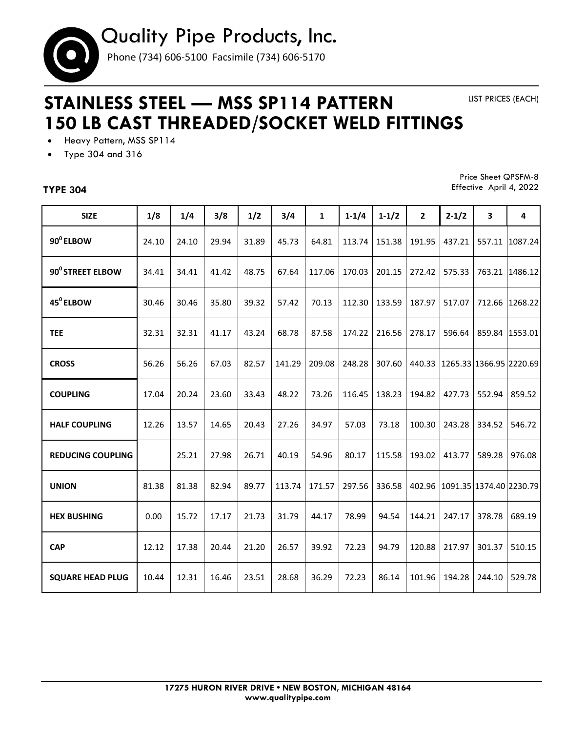

## **STAINLESS STEEL — MSS SP114 PATTERN 150 LB CAST THREADED/SOCKET WELD FITTINGS**

LIST PRICES (EACH)

- Heavy Pattern, MSS SP114
- Type 304 and 316

## **TYPE 304**

Price Sheet QPSFM-8 Effective April 4, 2022

| <b>SIZE</b>              | 1/8   | 1/4   | 3/8   | 1/2   | 3/4    | $\mathbf{1}$ | $1 - 1/4$ | $1 - 1/2$ | $\overline{2}$ | $2 - 1/2$                      | 3                       | 4       |
|--------------------------|-------|-------|-------|-------|--------|--------------|-----------|-----------|----------------|--------------------------------|-------------------------|---------|
| 90 <sup>°</sup> ELBOW    | 24.10 | 24.10 | 29.94 | 31.89 | 45.73  | 64.81        | 113.74    | 151.38    | 191.95         | 437.21                         | 557.11                  | 1087.24 |
| 90° STREET ELBOW         | 34.41 | 34.41 | 41.42 | 48.75 | 67.64  | 117.06       | 170.03    | 201.15    | 272.42         | 575.33                         | 763.21                  | 1486.12 |
| 45 <sup>°</sup> ELBOW    | 30.46 | 30.46 | 35.80 | 39.32 | 57.42  | 70.13        | 112.30    | 133.59    | 187.97         | 517.07                         | 712.66                  | 1268.22 |
| <b>TEE</b>               | 32.31 | 32.31 | 41.17 | 43.24 | 68.78  | 87.58        | 174.22    | 216.56    | 278.17         | 596.64                         | 859.84                  | 1553.01 |
| <b>CROSS</b>             | 56.26 | 56.26 | 67.03 | 82.57 | 141.29 | 209.08       | 248.28    | 307.60    |                | 440.33 1265.33 1366.95 2220.69 |                         |         |
| <b>COUPLING</b>          | 17.04 | 20.24 | 23.60 | 33.43 | 48.22  | 73.26        | 116.45    | 138.23    | 194.82         | 427.73                         | 552.94                  | 859.52  |
| <b>HALF COUPLING</b>     | 12.26 | 13.57 | 14.65 | 20.43 | 27.26  | 34.97        | 57.03     | 73.18     | 100.30         | 243.28                         | 334.52                  | 546.72  |
| <b>REDUCING COUPLING</b> |       | 25.21 | 27.98 | 26.71 | 40.19  | 54.96        | 80.17     | 115.58    | 193.02         | 413.77                         | 589.28                  | 976.08  |
| <b>UNION</b>             | 81.38 | 81.38 | 82.94 | 89.77 | 113.74 | 171.57       | 297.56    | 336.58    | 402.96         |                                | 1091.35 1374.40 2230.79 |         |
| <b>HEX BUSHING</b>       | 0.00  | 15.72 | 17.17 | 21.73 | 31.79  | 44.17        | 78.99     | 94.54     | 144.21         | 247.17                         | 378.78                  | 689.19  |
| <b>CAP</b>               | 12.12 | 17.38 | 20.44 | 21.20 | 26.57  | 39.92        | 72.23     | 94.79     | 120.88         | 217.97                         | 301.37                  | 510.15  |
| <b>SQUARE HEAD PLUG</b>  | 10.44 | 12.31 | 16.46 | 23.51 | 28.68  | 36.29        | 72.23     | 86.14     | 101.96         | 194.28                         | 244.10                  | 529.78  |